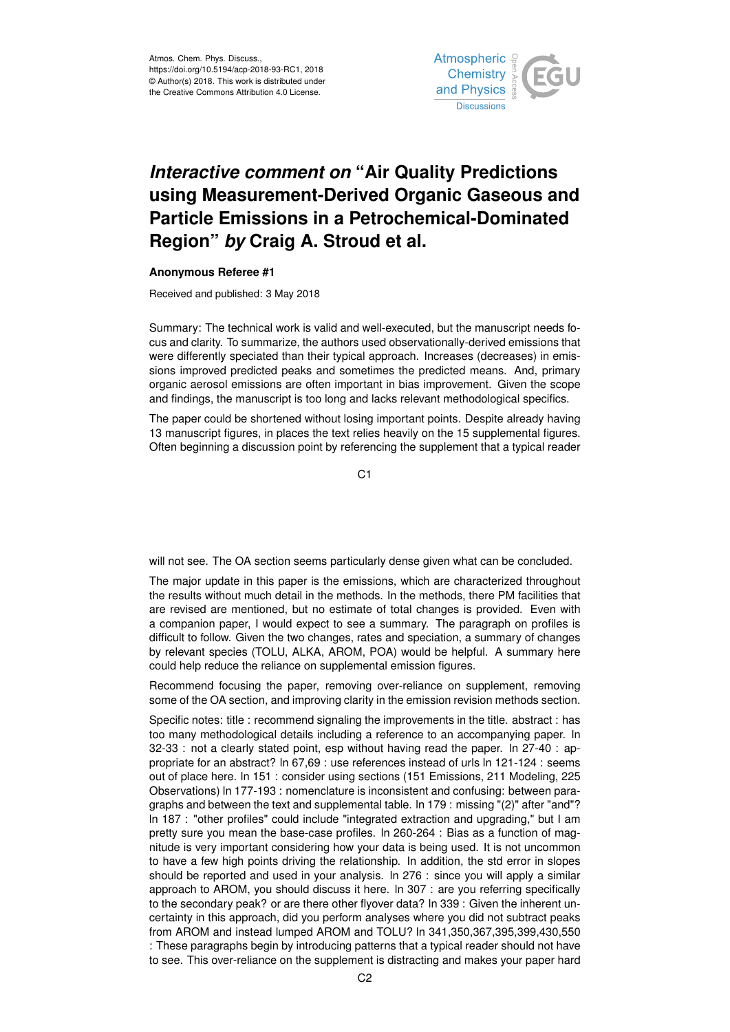

## *Interactive comment on* **"Air Quality Predictions using Measurement-Derived Organic Gaseous and Particle Emissions in a Petrochemical-Dominated Region"** *by* **Craig A. Stroud et al.**

## **Anonymous Referee #1**

Received and published: 3 May 2018

Summary: The technical work is valid and well-executed, but the manuscript needs focus and clarity. To summarize, the authors used observationally-derived emissions that were differently speciated than their typical approach. Increases (decreases) in emissions improved predicted peaks and sometimes the predicted means. And, primary organic aerosol emissions are often important in bias improvement. Given the scope and findings, the manuscript is too long and lacks relevant methodological specifics.

The paper could be shortened without losing important points. Despite already having 13 manuscript figures, in places the text relies heavily on the 15 supplemental figures. Often beginning a discussion point by referencing the supplement that a typical reader

C1

will not see. The OA section seems particularly dense given what can be concluded.

The major update in this paper is the emissions, which are characterized throughout the results without much detail in the methods. In the methods, there PM facilities that are revised are mentioned, but no estimate of total changes is provided. Even with a companion paper, I would expect to see a summary. The paragraph on profiles is difficult to follow. Given the two changes, rates and speciation, a summary of changes by relevant species (TOLU, ALKA, AROM, POA) would be helpful. A summary here could help reduce the reliance on supplemental emission figures.

Recommend focusing the paper, removing over-reliance on supplement, removing some of the OA section, and improving clarity in the emission revision methods section.

Specific notes: title : recommend signaling the improvements in the title. abstract : has too many methodological details including a reference to an accompanying paper. ln 32-33 : not a clearly stated point, esp without having read the paper. ln 27-40 : appropriate for an abstract? ln 67,69 : use references instead of urls ln 121-124 : seems out of place here. ln 151 : consider using sections (151 Emissions, 211 Modeling, 225 Observations) ln 177-193 : nomenclature is inconsistent and confusing: between paragraphs and between the text and supplemental table. ln 179 : missing "(2)" after "and"? ln 187 : "other profiles" could include "integrated extraction and upgrading," but I am pretty sure you mean the base-case profiles. ln 260-264 : Bias as a function of magnitude is very important considering how your data is being used. It is not uncommon to have a few high points driving the relationship. In addition, the std error in slopes should be reported and used in your analysis. ln 276 : since you will apply a similar approach to AROM, you should discuss it here. ln 307 : are you referring specifically to the secondary peak? or are there other flyover data? ln 339 : Given the inherent uncertainty in this approach, did you perform analyses where you did not subtract peaks from AROM and instead lumped AROM and TOLU? ln 341,350,367,395,399,430,550 : These paragraphs begin by introducing patterns that a typical reader should not have to see. This over-reliance on the supplement is distracting and makes your paper hard